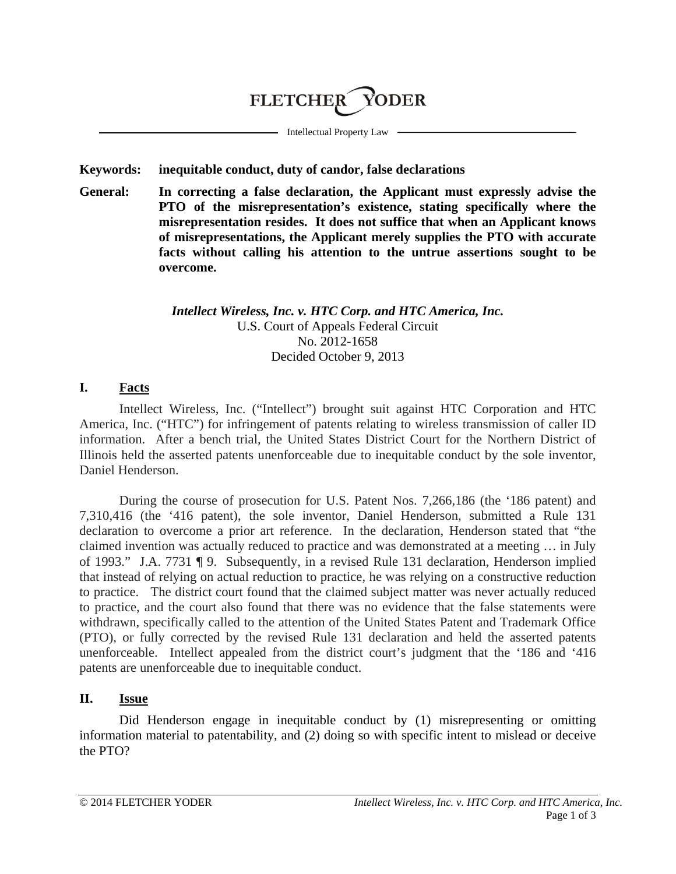# **FLETCHER** YODER

Intellectual Property Law

### **Keywords: inequitable conduct, duty of candor, false declarations**

**General: In correcting a false declaration, the Applicant must expressly advise the PTO of the misrepresentation's existence, stating specifically where the misrepresentation resides. It does not suffice that when an Applicant knows of misrepresentations, the Applicant merely supplies the PTO with accurate facts without calling his attention to the untrue assertions sought to be overcome.**

### *Intellect Wireless, Inc. v. HTC Corp. and HTC America, Inc.* U.S. Court of Appeals Federal Circuit No. 2012-1658 Decided October 9, 2013

## **I. Facts**

Intellect Wireless, Inc. ("Intellect") brought suit against HTC Corporation and HTC America, Inc. ("HTC") for infringement of patents relating to wireless transmission of caller ID information. After a bench trial, the United States District Court for the Northern District of Illinois held the asserted patents unenforceable due to inequitable conduct by the sole inventor, Daniel Henderson.

During the course of prosecution for U.S. Patent Nos. 7,266,186 (the '186 patent) and 7,310,416 (the '416 patent), the sole inventor, Daniel Henderson, submitted a Rule 131 declaration to overcome a prior art reference. In the declaration, Henderson stated that "the claimed invention was actually reduced to practice and was demonstrated at a meeting … in July of 1993." J.A. 7731 ¶ 9. Subsequently, in a revised Rule 131 declaration, Henderson implied that instead of relying on actual reduction to practice, he was relying on a constructive reduction to practice. The district court found that the claimed subject matter was never actually reduced to practice, and the court also found that there was no evidence that the false statements were withdrawn, specifically called to the attention of the United States Patent and Trademark Office (PTO), or fully corrected by the revised Rule 131 declaration and held the asserted patents unenforceable. Intellect appealed from the district court's judgment that the '186 and '416 patents are unenforceable due to inequitable conduct.

# **II. Issue**

Did Henderson engage in inequitable conduct by (1) misrepresenting or omitting information material to patentability, and (2) doing so with specific intent to mislead or deceive the PTO?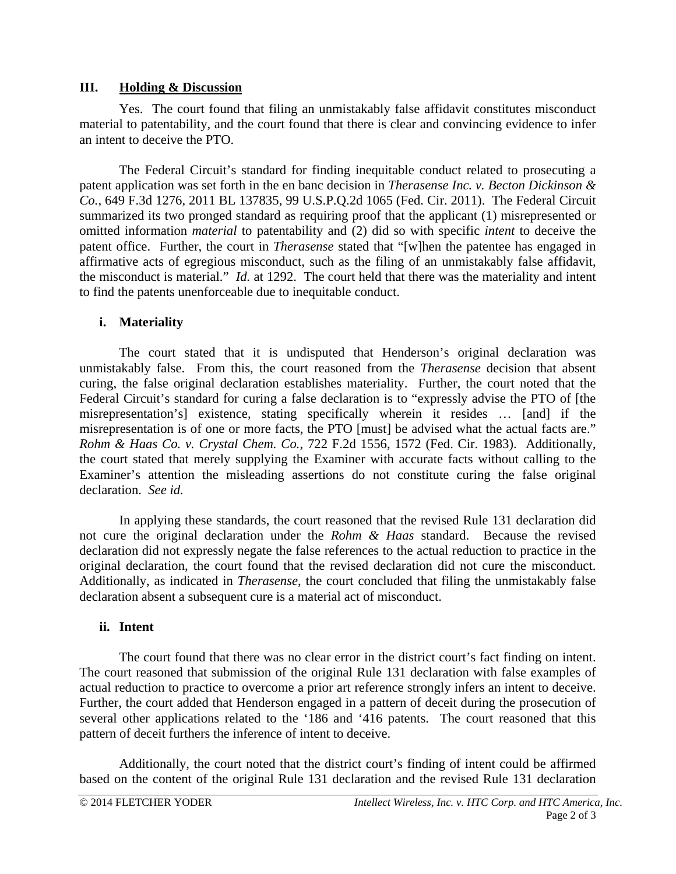### **III. Holding & Discussion**

Yes. The court found that filing an unmistakably false affidavit constitutes misconduct material to patentability, and the court found that there is clear and convincing evidence to infer an intent to deceive the PTO.

The Federal Circuit's standard for finding inequitable conduct related to prosecuting a patent application was set forth in the en banc decision in *Therasense Inc. v. Becton Dickinson & Co.*, 649 F.3d 1276, 2011 BL 137835, 99 U.S.P.Q.2d 1065 (Fed. Cir. 2011). The Federal Circuit summarized its two pronged standard as requiring proof that the applicant (1) misrepresented or omitted information *material* to patentability and (2) did so with specific *intent* to deceive the patent office. Further, the court in *Therasense* stated that "[w]hen the patentee has engaged in affirmative acts of egregious misconduct, such as the filing of an unmistakably false affidavit, the misconduct is material." *Id.* at 1292. The court held that there was the materiality and intent to find the patents unenforceable due to inequitable conduct.

## **i. Materiality**

The court stated that it is undisputed that Henderson's original declaration was unmistakably false. From this, the court reasoned from the *Therasense* decision that absent curing, the false original declaration establishes materiality. Further, the court noted that the Federal Circuit's standard for curing a false declaration is to "expressly advise the PTO of [the misrepresentation's] existence, stating specifically wherein it resides … [and] if the misrepresentation is of one or more facts, the PTO [must] be advised what the actual facts are." *Rohm & Haas Co. v. Crystal Chem. Co.*, 722 F.2d 1556, 1572 (Fed. Cir. 1983). Additionally, the court stated that merely supplying the Examiner with accurate facts without calling to the Examiner's attention the misleading assertions do not constitute curing the false original declaration. *See id.*

In applying these standards, the court reasoned that the revised Rule 131 declaration did not cure the original declaration under the *Rohm & Haas* standard. Because the revised declaration did not expressly negate the false references to the actual reduction to practice in the original declaration, the court found that the revised declaration did not cure the misconduct. Additionally, as indicated in *Therasense*, the court concluded that filing the unmistakably false declaration absent a subsequent cure is a material act of misconduct.

## **ii. Intent**

The court found that there was no clear error in the district court's fact finding on intent. The court reasoned that submission of the original Rule 131 declaration with false examples of actual reduction to practice to overcome a prior art reference strongly infers an intent to deceive. Further, the court added that Henderson engaged in a pattern of deceit during the prosecution of several other applications related to the '186 and '416 patents. The court reasoned that this pattern of deceit furthers the inference of intent to deceive.

Additionally, the court noted that the district court's finding of intent could be affirmed based on the content of the original Rule 131 declaration and the revised Rule 131 declaration